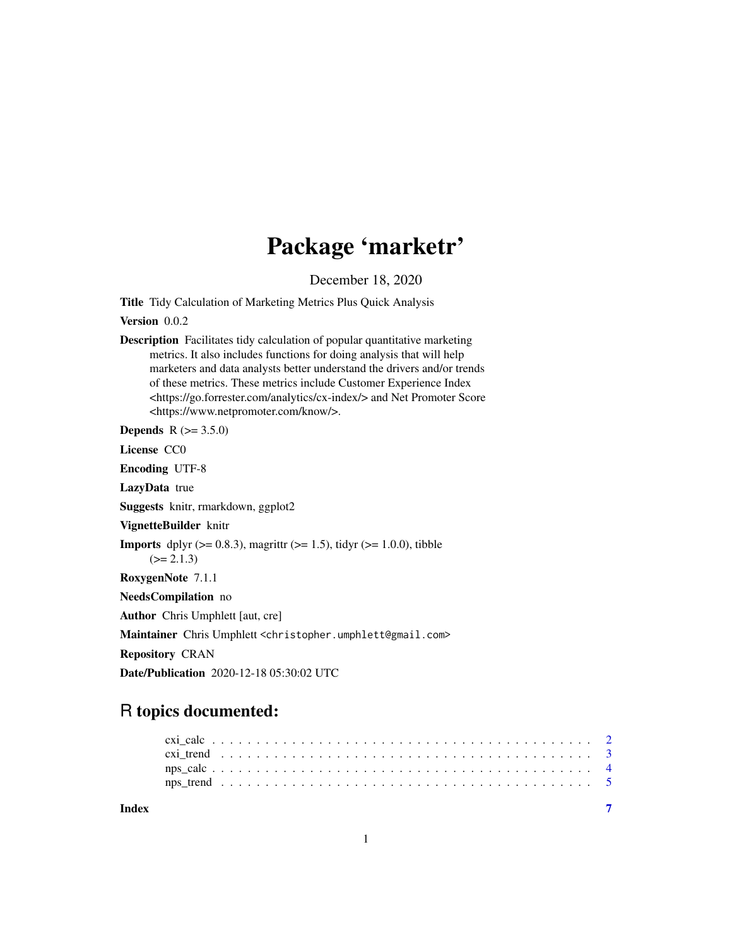## Package 'marketr'

December 18, 2020

Title Tidy Calculation of Marketing Metrics Plus Quick Analysis

Version 0.0.2

Description Facilitates tidy calculation of popular quantitative marketing metrics. It also includes functions for doing analysis that will help marketers and data analysts better understand the drivers and/or trends of these metrics. These metrics include Customer Experience Index <https://go.forrester.com/analytics/cx-index/> and Net Promoter Score <https://www.netpromoter.com/know/>.

**Depends** R  $(>= 3.5.0)$ 

License CC0 Encoding UTF-8 LazyData true Suggests knitr, rmarkdown, ggplot2 VignetteBuilder knitr **Imports** dplyr ( $>= 0.8.3$ ), magrittr ( $>= 1.5$ ), tidyr ( $>= 1.0.0$ ), tibble  $(>= 2.1.3)$ RoxygenNote 7.1.1 NeedsCompilation no

Author Chris Umphlett [aut, cre]

Maintainer Chris Umphlett <christopher.umphlett@gmail.com>

Repository CRAN

Date/Publication 2020-12-18 05:30:02 UTC

### R topics documented:

| Index |  |  |  |  |  |  |  |  |  |  |  |  |  |  |  |  |  |  |  |  |  |  |
|-------|--|--|--|--|--|--|--|--|--|--|--|--|--|--|--|--|--|--|--|--|--|--|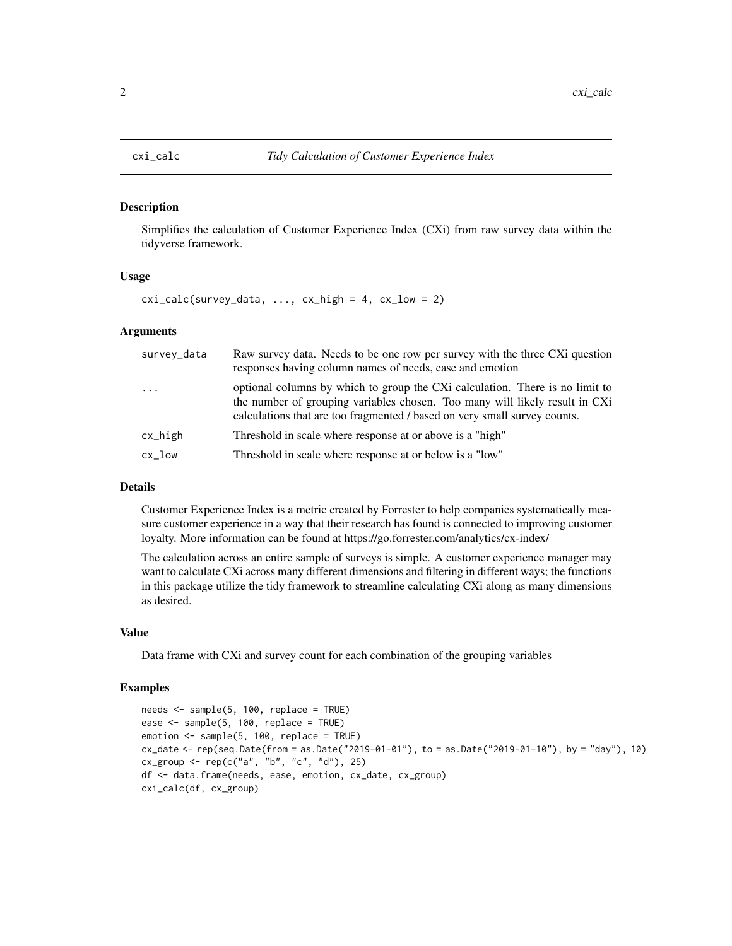#### Description

Simplifies the calculation of Customer Experience Index (CXi) from raw survey data within the tidyverse framework.

#### Usage

 $cxi\_calc(survey\_data, ..., cx\_high = 4, cx\_low = 2)$ 

#### Arguments

| survey_data | Raw survey data. Needs to be one row per survey with the three CXi question<br>responses having column names of needs, ease and emotion                                                                                                  |
|-------------|------------------------------------------------------------------------------------------------------------------------------------------------------------------------------------------------------------------------------------------|
| $\cdots$    | optional columns by which to group the CXi calculation. There is no limit to<br>the number of grouping variables chosen. Too many will likely result in CXi<br>calculations that are too fragmented / based on very small survey counts. |
| cx_high     | Threshold in scale where response at or above is a "high"                                                                                                                                                                                |
| $cx_{1}$ ow | Threshold in scale where response at or below is a "low"                                                                                                                                                                                 |

#### Details

Customer Experience Index is a metric created by Forrester to help companies systematically measure customer experience in a way that their research has found is connected to improving customer loyalty. More information can be found at https://go.forrester.com/analytics/cx-index/

The calculation across an entire sample of surveys is simple. A customer experience manager may want to calculate CXi across many different dimensions and filtering in different ways; the functions in this package utilize the tidy framework to streamline calculating CXi along as many dimensions as desired.

#### Value

Data frame with CXi and survey count for each combination of the grouping variables

#### Examples

```
needs <- sample(5, 100, replace = TRUE)
ease <- sample(5, 100, replace = TRUE)
emotion <- sample(5, 100, replace = TRUE)
cx_date <- rep(seq.Date(from = as.Date("2019-01-01"), to = as.Date("2019-01-10"), by = "day"), 10)
cx\_group \leftarrow rep(c("a", "b", "c", "d"), 25)df <- data.frame(needs, ease, emotion, cx_date, cx_group)
cxi_calc(df, cx_group)
```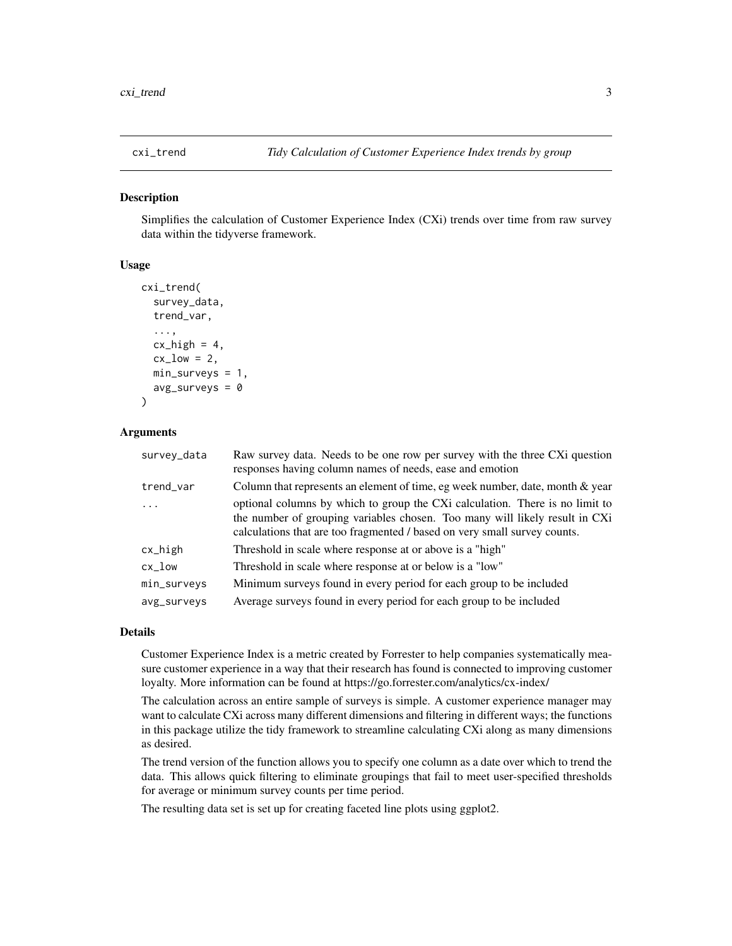<span id="page-2-0"></span>

#### Description

Simplifies the calculation of Customer Experience Index (CXi) trends over time from raw survey data within the tidyverse framework.

#### Usage

```
cxi_trend(
  survey_data,
  trend_var,
  ...,
  cx_{high} = 4,
  cx_low = 2,
  min\_surveys = 1,avg\_surveys = 0)
```
#### Arguments

| survey_data | Raw survey data. Needs to be one row per survey with the three CXi question<br>responses having column names of needs, ease and emotion                                                                                                  |
|-------------|------------------------------------------------------------------------------------------------------------------------------------------------------------------------------------------------------------------------------------------|
| trend_var   | Column that represents an element of time, eg week number, date, month & year                                                                                                                                                            |
| $\ddots$ .  | optional columns by which to group the CXi calculation. There is no limit to<br>the number of grouping variables chosen. Too many will likely result in CXi<br>calculations that are too fragmented / based on very small survey counts. |
| cx_high     | Threshold in scale where response at or above is a "high"                                                                                                                                                                                |
| $cx_{1}ow$  | Threshold in scale where response at or below is a "low"                                                                                                                                                                                 |
| min_surveys | Minimum surveys found in every period for each group to be included                                                                                                                                                                      |
| avg_surveys | Average surveys found in every period for each group to be included                                                                                                                                                                      |
|             |                                                                                                                                                                                                                                          |

#### Details

Customer Experience Index is a metric created by Forrester to help companies systematically measure customer experience in a way that their research has found is connected to improving customer loyalty. More information can be found at https://go.forrester.com/analytics/cx-index/

The calculation across an entire sample of surveys is simple. A customer experience manager may want to calculate CXi across many different dimensions and filtering in different ways; the functions in this package utilize the tidy framework to streamline calculating CXi along as many dimensions as desired.

The trend version of the function allows you to specify one column as a date over which to trend the data. This allows quick filtering to eliminate groupings that fail to meet user-specified thresholds for average or minimum survey counts per time period.

The resulting data set is set up for creating faceted line plots using ggplot2.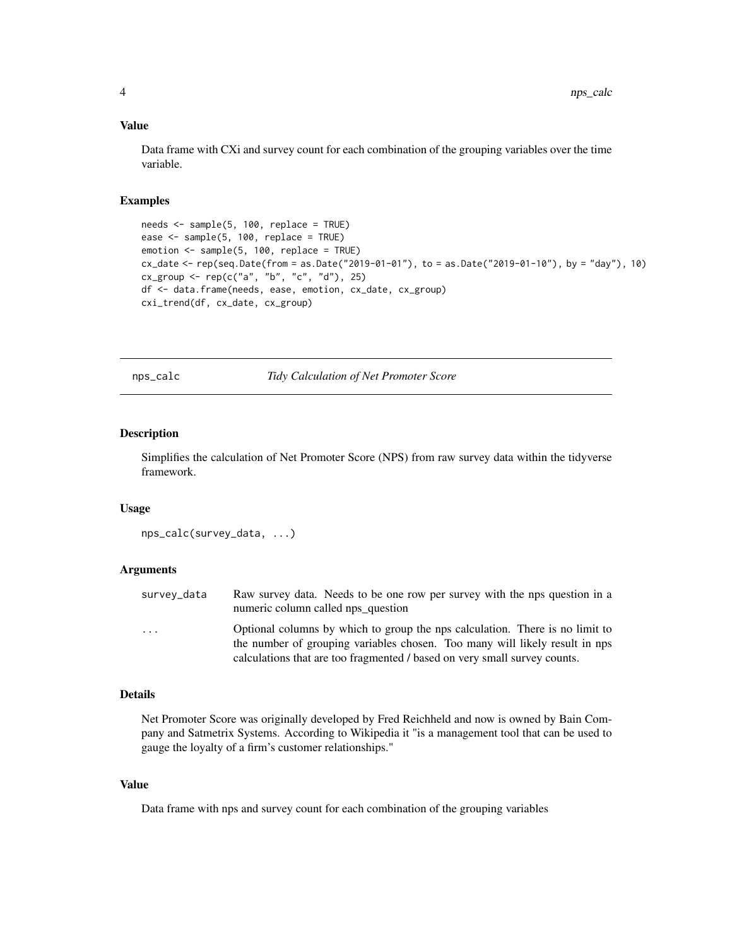#### <span id="page-3-0"></span>Value

Data frame with CXi and survey count for each combination of the grouping variables over the time variable.

#### Examples

```
needs <- sample(5, 100, replace = TRUE)
ease <- sample(5, 100, replace = TRUE)
emotion <- sample(5, 100, replace = TRUE)
cx_date <- rep(seq.Date(from = as.Date("2019-01-01"), to = as.Date("2019-01-10"), by = "day"), 10)
cx_group <- rep(c("a", "b", "c", "d"), 25)
df <- data.frame(needs, ease, emotion, cx_date, cx_group)
cxi_trend(df, cx_date, cx_group)
```
nps\_calc *Tidy Calculation of Net Promoter Score*

#### Description

Simplifies the calculation of Net Promoter Score (NPS) from raw survey data within the tidyverse framework.

#### Usage

```
nps_calc(survey_data, ...)
```
#### Arguments

| survey_data | Raw survey data. Needs to be one row per survey with the nps question in a<br>numeric column called nps_question                                            |
|-------------|-------------------------------------------------------------------------------------------------------------------------------------------------------------|
| $\cdots$    | Optional columns by which to group the nps calculation. There is no limit to<br>the number of grouping variables chosen. Too many will likely result in nps |
|             | calculations that are too fragmented / based on very small survey counts.                                                                                   |

#### Details

Net Promoter Score was originally developed by Fred Reichheld and now is owned by Bain Company and Satmetrix Systems. According to Wikipedia it "is a management tool that can be used to gauge the loyalty of a firm's customer relationships."

#### Value

Data frame with nps and survey count for each combination of the grouping variables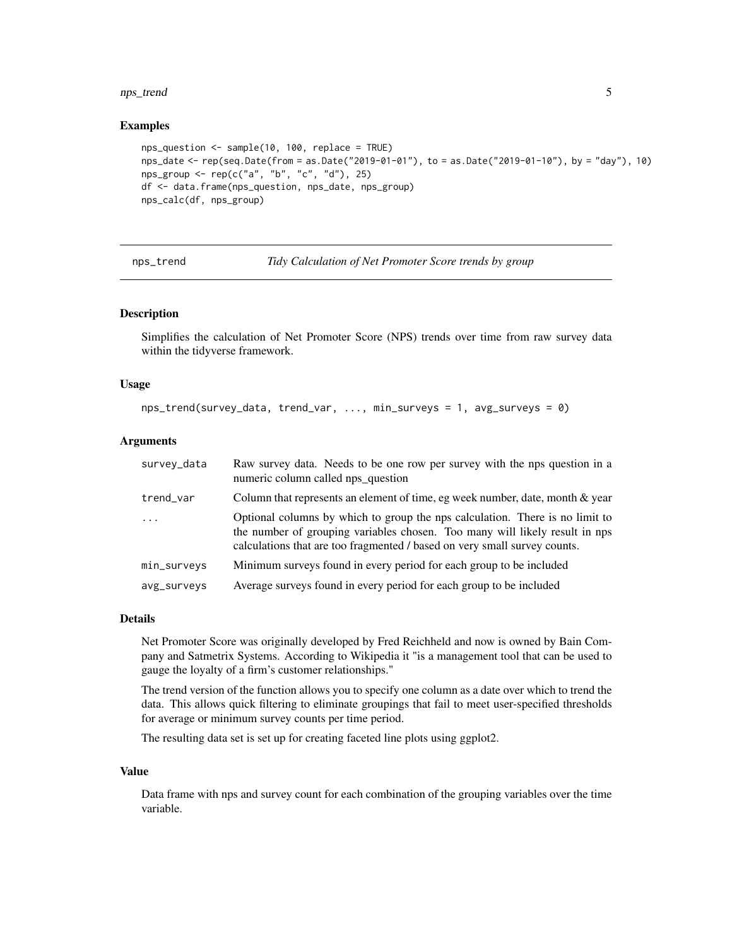#### <span id="page-4-0"></span>nps\_trend 5

#### Examples

```
nps_question <- sample(10, 100, replace = TRUE)
nps_date <- rep(seq.Date(from = as.Date("2019-01-01"), to = as.Date("2019-01-10"), by = "day"), 10)
nps_group <- rep(c("a", "b", "c", "d"), 25)
df <- data.frame(nps_question, nps_date, nps_group)
nps_calc(df, nps_group)
```
nps\_trend *Tidy Calculation of Net Promoter Score trends by group*

#### Description

Simplifies the calculation of Net Promoter Score (NPS) trends over time from raw survey data within the tidyverse framework.

#### Usage

```
nps_trend(survey_data, trend_var, ..., min_surveys = 1, avg_surveys = 0)
```
#### Arguments

| survey_data | Raw survey data. Needs to be one row per survey with the nps question in a<br>numeric column called nps_question                                                                                                                         |
|-------------|------------------------------------------------------------------------------------------------------------------------------------------------------------------------------------------------------------------------------------------|
| trend_var   | Column that represents an element of time, eg week number, date, month & year                                                                                                                                                            |
|             | Optional columns by which to group the nps calculation. There is no limit to<br>the number of grouping variables chosen. Too many will likely result in nps<br>calculations that are too fragmented / based on very small survey counts. |
| min_surveys | Minimum surveys found in every period for each group to be included                                                                                                                                                                      |
| avg_surveys | Average surveys found in every period for each group to be included                                                                                                                                                                      |

#### Details

Net Promoter Score was originally developed by Fred Reichheld and now is owned by Bain Company and Satmetrix Systems. According to Wikipedia it "is a management tool that can be used to gauge the loyalty of a firm's customer relationships."

The trend version of the function allows you to specify one column as a date over which to trend the data. This allows quick filtering to eliminate groupings that fail to meet user-specified thresholds for average or minimum survey counts per time period.

The resulting data set is set up for creating faceted line plots using ggplot2.

#### Value

Data frame with nps and survey count for each combination of the grouping variables over the time variable.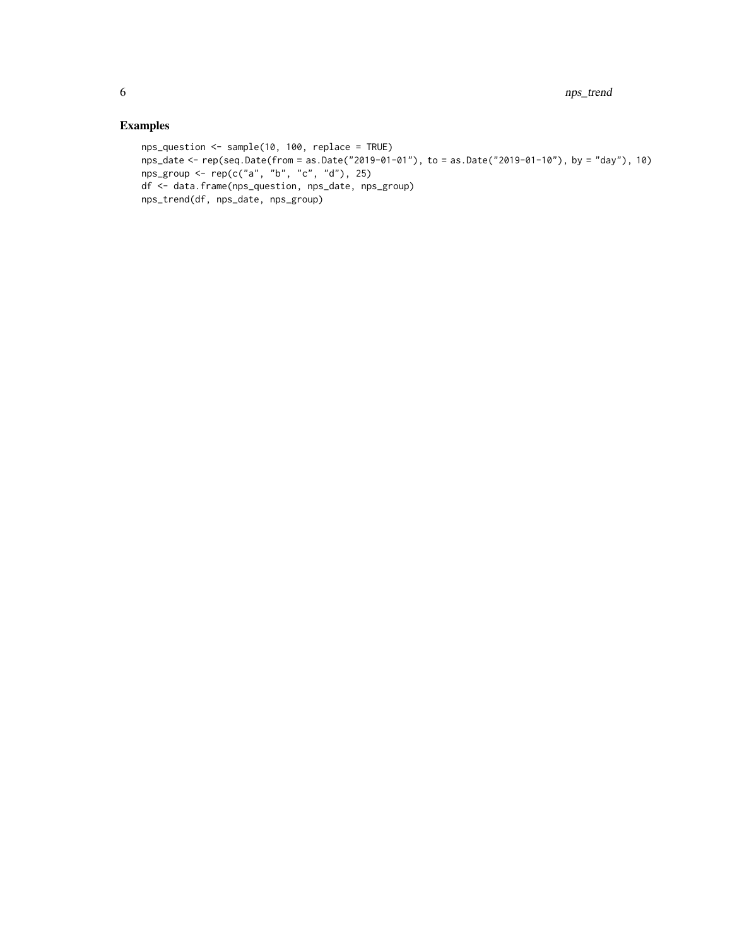#### Examples

```
nps_question <- sample(10, 100, replace = TRUE)
nps_date <- rep(seq.Date(from = as.Date("2019-01-01"), to = as.Date("2019-01-10"), by = "day"), 10)
nps_group <- rep(c("a", "b", "c", "d"), 25)
df <- data.frame(nps_question, nps_date, nps_group)
nps_trend(df, nps_date, nps_group)
```